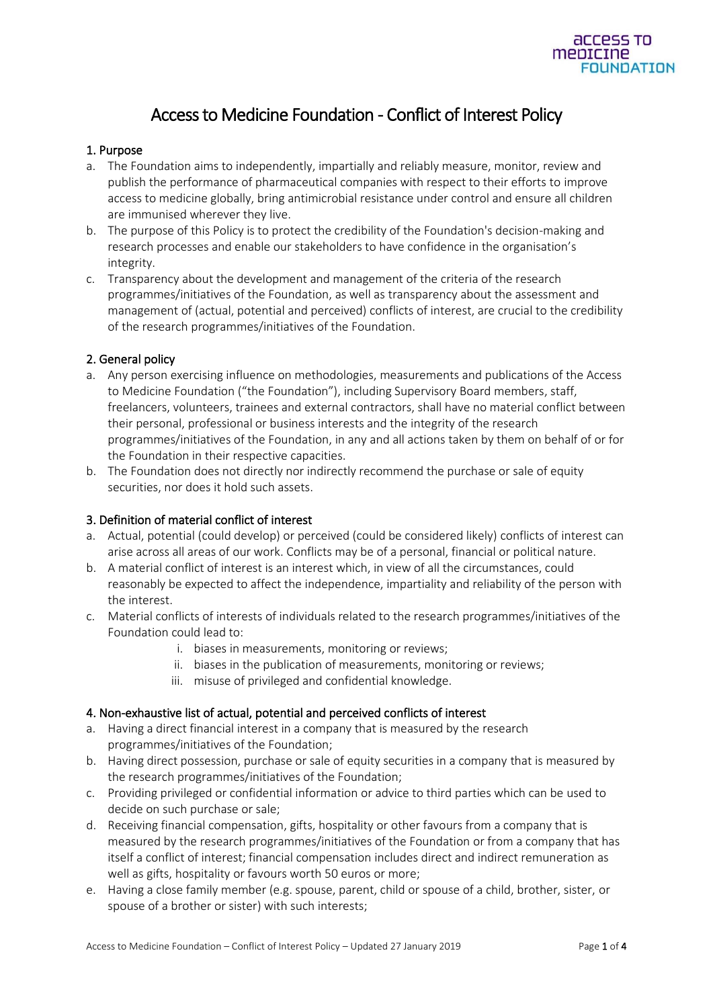

# Access to Medicine Foundation - Conflict of Interest Policy

## 1. Purpose

- a. The Foundation aims to independently, impartially and reliably measure, monitor, review and publish the performance of pharmaceutical companies with respect to their efforts to improve access to medicine globally, bring antimicrobial resistance under control and ensure all children are immunised wherever they live.
- b. The purpose of this Policy is to protect the credibility of the Foundation's decision-making and research processes and enable our stakeholders to have confidence in the organisation's integrity.
- c. Transparency about the development and management of the criteria of the research programmes/initiatives of the Foundation, as well as transparency about the assessment and management of (actual, potential and perceived) conflicts of interest, are crucial to the credibility of the research programmes/initiatives of the Foundation.

#### 2. General policy

- a. Any person exercising influence on methodologies, measurements and publications of the Access to Medicine Foundation ("the Foundation"), including Supervisory Board members, staff, freelancers, volunteers, trainees and external contractors, shall have no material conflict between their personal, professional or business interests and the integrity of the research programmes/initiatives of the Foundation, in any and all actions taken by them on behalf of or for the Foundation in their respective capacities.
- b. The Foundation does not directly nor indirectly recommend the purchase or sale of equity securities, nor does it hold such assets.

#### 3. Definition of material conflict of interest

- a. Actual, potential (could develop) or perceived (could be considered likely) conflicts of interest can arise across all areas of our work. Conflicts may be of a personal, financial or political nature.
- b. A material conflict of interest is an interest which, in view of all the circumstances, could reasonably be expected to affect the independence, impartiality and reliability of the person with the interest.
- c. Material conflicts of interests of individuals related to the research programmes/initiatives of the Foundation could lead to:
	- i. biases in measurements, monitoring or reviews;
	- ii. biases in the publication of measurements, monitoring or reviews;
	- iii. misuse of privileged and confidential knowledge.

### 4. Non-exhaustive list of actual, potential and perceived conflicts of interest

- a. Having a direct financial interest in a company that is measured by the research programmes/initiatives of the Foundation;
- b. Having direct possession, purchase or sale of equity securities in a company that is measured by the research programmes/initiatives of the Foundation;
- c. Providing privileged or confidential information or advice to third parties which can be used to decide on such purchase or sale;
- d. Receiving financial compensation, gifts, hospitality or other favours from a company that is measured by the research programmes/initiatives of the Foundation or from a company that has itself a conflict of interest; financial compensation includes direct and indirect remuneration as well as gifts, hospitality or favours worth 50 euros or more;
- e. Having a close family member (e.g. spouse, parent, child or spouse of a child, brother, sister, or spouse of a brother or sister) with such interests;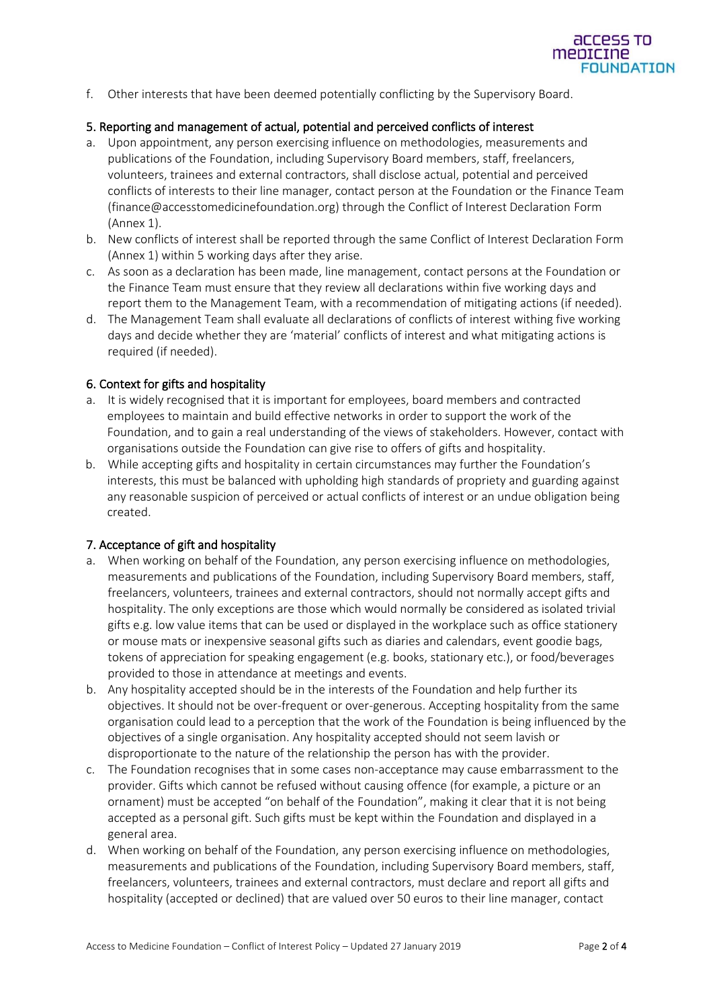f. Other interests that have been deemed potentially conflicting by the Supervisory Board.

### 5. Reporting and management of actual, potential and perceived conflicts of interest

- a. Upon appointment, any person exercising influence on methodologies, measurements and publications of the Foundation, including Supervisory Board members, staff, freelancers, volunteers, trainees and external contractors, shall disclose actual, potential and perceived conflicts of interests to their line manager, contact person at the Foundation or the Finance Team (finance@accesstomedicinefoundation.org) through the Conflict of Interest Declaration Form (Annex 1).
- b. New conflicts of interest shall be reported through the same Conflict of Interest Declaration Form (Annex 1) within 5 working days after they arise.
- c. As soon as a declaration has been made, line management, contact persons at the Foundation or the Finance Team must ensure that they review all declarations within five working days and report them to the Management Team, with a recommendation of mitigating actions (if needed).
- d. The Management Team shall evaluate all declarations of conflicts of interest withing five working days and decide whether they are 'material' conflicts of interest and what mitigating actions is required (if needed).

#### 6. Context for gifts and hospitality

- a. It is widely recognised that it is important for employees, board members and contracted employees to maintain and build effective networks in order to support the work of the Foundation, and to gain a real understanding of the views of stakeholders. However, contact with organisations outside the Foundation can give rise to offers of gifts and hospitality.
- b. While accepting gifts and hospitality in certain circumstances may further the Foundation's interests, this must be balanced with upholding high standards of propriety and guarding against any reasonable suspicion of perceived or actual conflicts of interest or an undue obligation being created.

#### 7. Acceptance of gift and hospitality

- a. When working on behalf of the Foundation, any person exercising influence on methodologies, measurements and publications of the Foundation, including Supervisory Board members, staff, freelancers, volunteers, trainees and external contractors, should not normally accept gifts and hospitality. The only exceptions are those which would normally be considered as isolated trivial gifts e.g. low value items that can be used or displayed in the workplace such as office stationery or mouse mats or inexpensive seasonal gifts such as diaries and calendars, event goodie bags, tokens of appreciation for speaking engagement (e.g. books, stationary etc.), or food/beverages provided to those in attendance at meetings and events.
- b. Any hospitality accepted should be in the interests of the Foundation and help further its objectives. It should not be over-frequent or over-generous. Accepting hospitality from the same organisation could lead to a perception that the work of the Foundation is being influenced by the objectives of a single organisation. Any hospitality accepted should not seem lavish or disproportionate to the nature of the relationship the person has with the provider.
- c. The Foundation recognises that in some cases non-acceptance may cause embarrassment to the provider. Gifts which cannot be refused without causing offence (for example, a picture or an ornament) must be accepted "on behalf of the Foundation", making it clear that it is not being accepted as a personal gift. Such gifts must be kept within the Foundation and displayed in a general area.
- d. When working on behalf of the Foundation, any person exercising influence on methodologies, measurements and publications of the Foundation, including Supervisory Board members, staff, freelancers, volunteers, trainees and external contractors, must declare and report all gifts and hospitality (accepted or declined) that are valued over 50 euros to their line manager, contact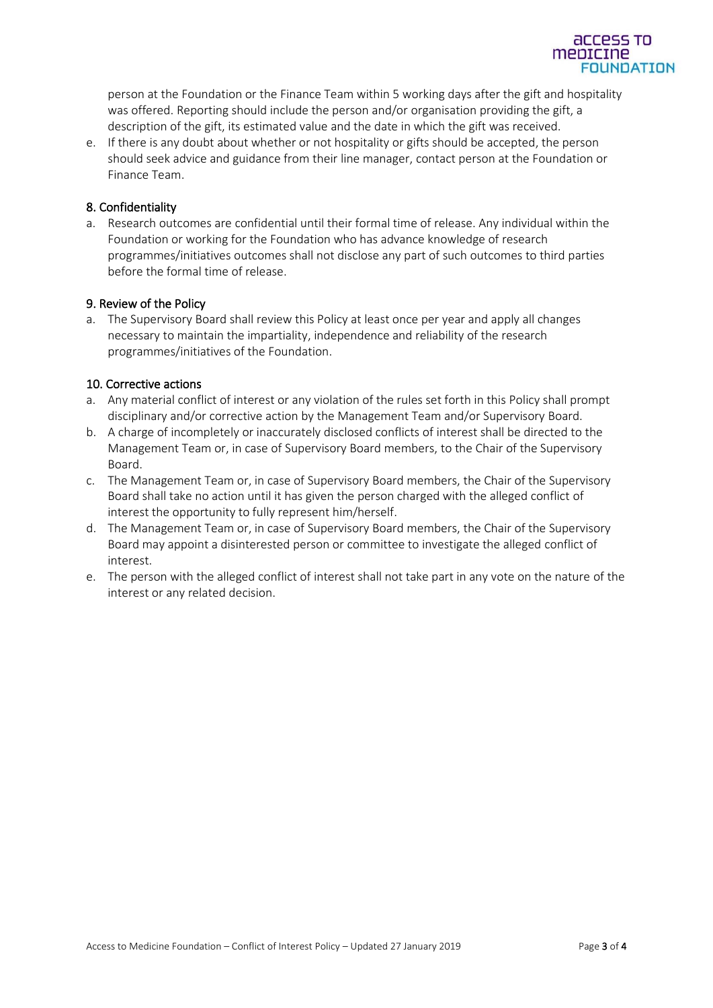

e. If there is any doubt about whether or not hospitality or gifts should be accepted, the person should seek advice and guidance from their line manager, contact person at the Foundation or Finance Team.

## 8. Confidentiality

a. Research outcomes are confidential until their formal time of release. Any individual within the Foundation or working for the Foundation who has advance knowledge of research programmes/initiatives outcomes shall not disclose any part of such outcomes to third parties before the formal time of release.

## 9. Review of the Policy

a. The Supervisory Board shall review this Policy at least once per year and apply all changes necessary to maintain the impartiality, independence and reliability of the research programmes/initiatives of the Foundation.

# 10. Corrective actions

- a. Any material conflict of interest or any violation of the rules set forth in this Policy shall prompt disciplinary and/or corrective action by the Management Team and/or Supervisory Board.
- b. A charge of incompletely or inaccurately disclosed conflicts of interest shall be directed to the Management Team or, in case of Supervisory Board members, to the Chair of the Supervisory Board.
- c. The Management Team or, in case of Supervisory Board members, the Chair of the Supervisory Board shall take no action until it has given the person charged with the alleged conflict of interest the opportunity to fully represent him/herself.
- d. The Management Team or, in case of Supervisory Board members, the Chair of the Supervisory Board may appoint a disinterested person or committee to investigate the alleged conflict of interest.
- e. The person with the alleged conflict of interest shall not take part in any vote on the nature of the interest or any related decision.

acce mepicine

**FOUNDATION**